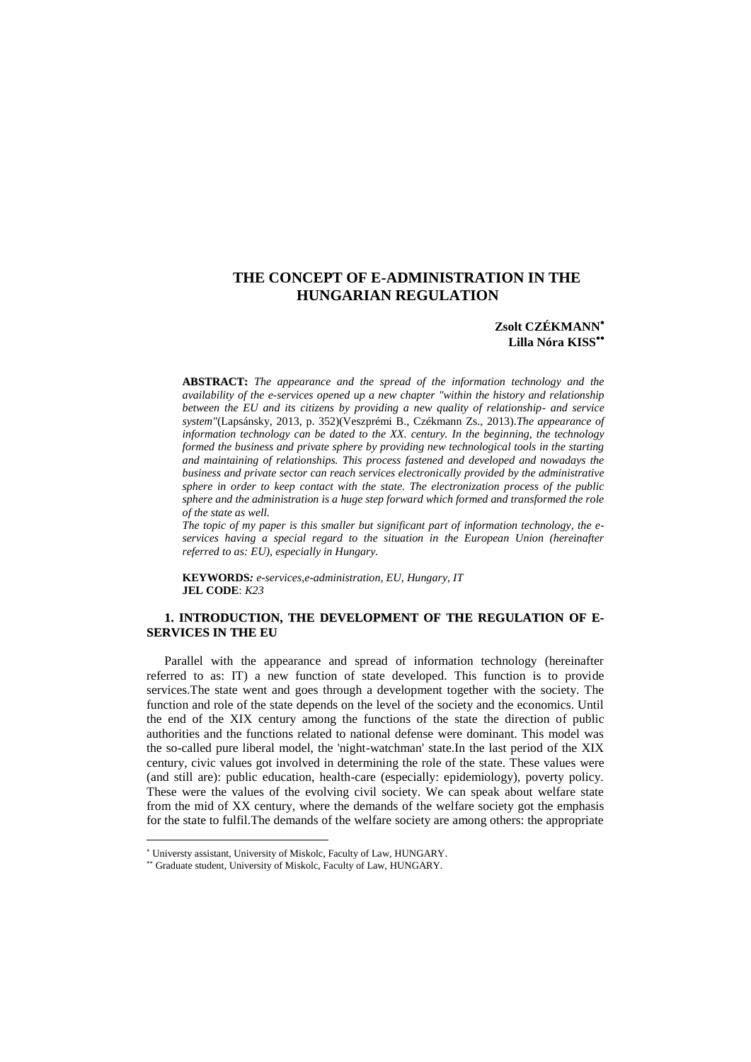# **THE CONCEPT OF E-ADMINISTRATION IN THE HUNGARIAN REGULATION**

# **Zsolt CZÉKMANN Lilla Nóra KISS**

**ABSTRACT:** *The appearance and the spread of the information technology and the availability of the e-services opened up a new chapter "within the history and relationship between the EU and its citizens by providing a new quality of relationship- and service system"*(Lapsánsky, 2013, p. 352)(Veszprémi B., Czékmann Zs., 2013)*.The appearance of information technology can be dated to the XX. century. In the beginning, the technology formed the business and private sphere by providing new technological tools in the starting and maintaining of relationships. This process fastened and developed and nowadays the business and private sector can reach services electronically provided by the administrative sphere in order to keep contact with the state. The electronization process of the public sphere and the administration is a huge step forward which formed and transformed the role of the state as well.*

*The topic of my paper is this smaller but significant part of information technology, the eservices having a special regard to the situation in the European Union (hereinafter referred to as: EU), especially in Hungary.* 

**KEYWORDS***: e-services,e-administration, EU, Hungary, IT* **JEL CODE**: *K23*

# **1. INTRODUCTION, THE DEVELOPMENT OF THE REGULATION OF E-SERVICES IN THE EU**

Parallel with the appearance and spread of information technology (hereinafter referred to as: IT) a new function of state developed. This function is to provide services.The state went and goes through a development together with the society. The function and role of the state depends on the level of the society and the economics. Until the end of the XIX century among the functions of the state the direction of public authorities and the functions related to national defense were dominant. This model was the so-called pure liberal model, the 'night-watchman' state.In the last period of the XIX century, civic values got involved in determining the role of the state. These values were (and still are): public education, health-care (especially: epidemiology), poverty policy. These were the values of the evolving civil society. We can speak about welfare state from the mid of XX century, where the demands of the welfare society got the emphasis for the state to fulfil.The demands of the welfare society are among others: the appropriate

Universty assistant, University of Miskolc, Faculty of Law, HUNGARY.

Graduate student, University of Miskolc, Faculty of Law, HUNGARY.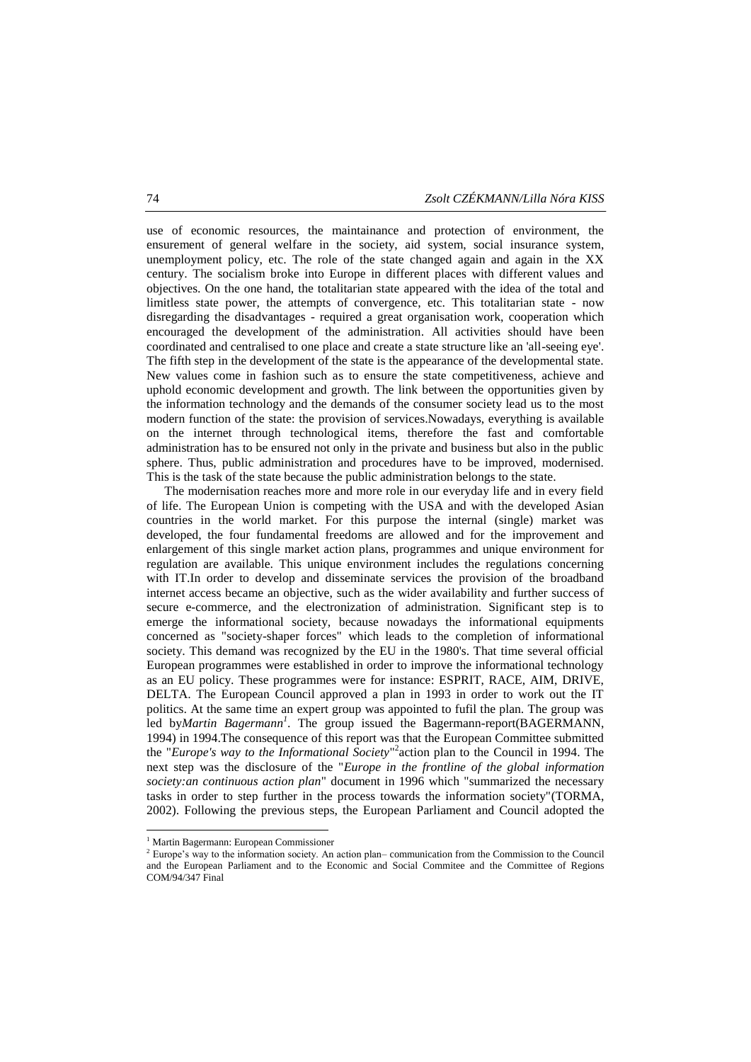use of economic resources, the maintainance and protection of environment, the ensurement of general welfare in the society, aid system, social insurance system, unemployment policy, etc. The role of the state changed again and again in the XX century. The socialism broke into Europe in different places with different values and objectives. On the one hand, the totalitarian state appeared with the idea of the total and limitless state power, the attempts of convergence, etc. This totalitarian state - now disregarding the disadvantages - required a great organisation work, cooperation which encouraged the development of the administration. All activities should have been coordinated and centralised to one place and create a state structure like an 'all-seeing eye'. The fifth step in the development of the state is the appearance of the developmental state. New values come in fashion such as to ensure the state competitiveness, achieve and uphold economic development and growth. The link between the opportunities given by the information technology and the demands of the consumer society lead us to the most modern function of the state: the provision of services.Nowadays, everything is available on the internet through technological items, therefore the fast and comfortable administration has to be ensured not only in the private and business but also in the public sphere. Thus, public administration and procedures have to be improved, modernised. This is the task of the state because the public administration belongs to the state.

The modernisation reaches more and more role in our everyday life and in every field of life. The European Union is competing with the USA and with the developed Asian countries in the world market. For this purpose the internal (single) market was developed, the four fundamental freedoms are allowed and for the improvement and enlargement of this single market action plans, programmes and unique environment for regulation are available. This unique environment includes the regulations concerning with IT.In order to develop and disseminate services the provision of the broadband internet access became an objective, such as the wider availability and further success of secure e-commerce, and the electronization of administration. Significant step is to emerge the informational society, because nowadays the informational equipments concerned as "society-shaper forces" which leads to the completion of informational society. This demand was recognized by the EU in the 1980's. That time several official European programmes were established in order to improve the informational technology as an EU policy. These programmes were for instance: ESPRIT, RACE, AIM, DRIVE, DELTA. The European Council approved a plan in 1993 in order to work out the IT politics. At the same time an expert group was appointed to fufil the plan. The group was led by*Martin Bagermann<sup>1</sup>* . The group issued the Bagermann-report(BAGERMANN, 1994) in 1994.The consequence of this report was that the European Committee submitted the "*Europe's way to the Informational Society*" 2 action plan to the Council in 1994. The next step was the disclosure of the "*Europe in the frontline of the global information society:an continuous action plan*" document in 1996 which "summarized the necessary tasks in order to step further in the process towards the information society"(TORMA, 2002). Following the previous steps, the European Parliament and Council adopted the

1

<sup>1</sup> Martin Bagermann: European Commissioner

<sup>&</sup>lt;sup>2</sup> Europe's way to the information society. An action plan– communication from the Commission to the Council and the European Parliament and to the Economic and Social Commitee and the Committee of Regions COM/94/347 Final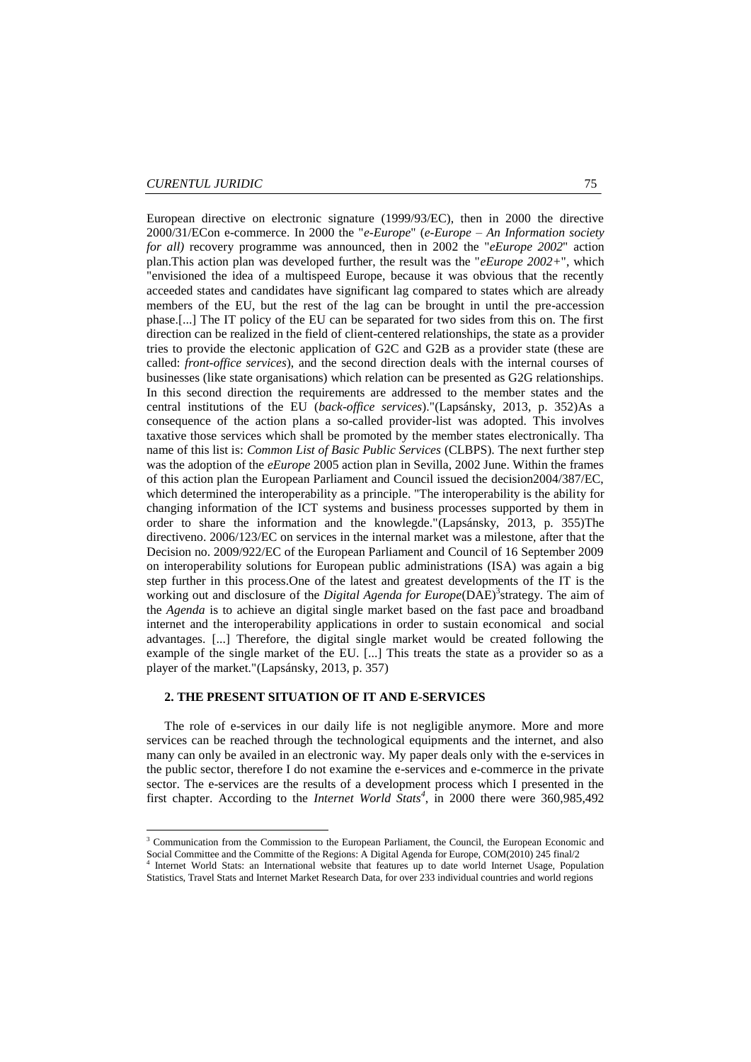1

European directive on electronic signature (1999/93/EC), then in 2000 the directive 2000/31/ECon e-commerce. In 2000 the "*e-Europe*" (*e-Europe – An Information society for all)* recovery programme was announced, then in 2002 the "*eEurope 2002*" action plan.This action plan was developed further, the result was the "*eEurope 2002+*", which "envisioned the idea of a multispeed Europe, because it was obvious that the recently acceeded states and candidates have significant lag compared to states which are already members of the EU, but the rest of the lag can be brought in until the pre-accession phase.[...] The IT policy of the EU can be separated for two sides from this on. The first direction can be realized in the field of client-centered relationships, the state as a provider tries to provide the electonic application of G2C and G2B as a provider state (these are called: *front-office services*), and the second direction deals with the internal courses of businesses (like state organisations) which relation can be presented as G2G relationships. In this second direction the requirements are addressed to the member states and the central institutions of the EU (*back-office services*)."(Lapsánsky, 2013, p. 352)As a consequence of the action plans a so-called provider-list was adopted. This involves taxative those services which shall be promoted by the member states electronically. Tha name of this list is: *Common List of Basic Public Services* (CLBPS). The next further step was the adoption of the *eEurope* 2005 action plan in Sevilla, 2002 June. Within the frames of this action plan the European Parliament and Council issued the decision2004/387/EC, which determined the interoperability as a principle. "The interoperability is the ability for changing information of the ICT systems and business processes supported by them in order to share the information and the knowlegde."(Lapsánsky, 2013, p. 355)The directiveno. 2006/123/EC on services in the internal market was a milestone, after that the Decision no. 2009/922/EC of the European Parliament and Council of 16 September 2009 on interoperability solutions for European public administrations (ISA) was again a big step further in this process.One of the latest and greatest developments of the IT is the working out and disclosure of the *Digital Agenda for Europe*(DAE)<sup>3</sup> strategy. The aim of the *Agenda* is to achieve an digital single market based on the fast pace and broadband internet and the interoperability applications in order to sustain economical and social advantages. [...] Therefore, the digital single market would be created following the example of the single market of the EU. [...] This treats the state as a provider so as a player of the market."(Lapsánsky, 2013, p. 357)

## **2. THE PRESENT SITUATION OF IT AND E-SERVICES**

The role of e-services in our daily life is not negligible anymore. More and more services can be reached through the technological equipments and the internet, and also many can only be availed in an electronic way. My paper deals only with the e-services in the public sector, therefore I do not examine the e-services and e-commerce in the private sector. The e-services are the results of a development process which I presented in the first chapter. According to the *Internet World Stats<sup>4</sup>*, in 2000 there were 360,985,492

<sup>3</sup> Communication from the Commission to the European Parliament, the Council, the European Economic and Social Committee and the Committe of the Regions: A Digital Agenda for Europe, COM(2010) 245 final/2

<sup>4</sup> Internet World Stats: an International website that features up to date world Internet Usage, Population Statistics, Travel Stats and Internet Market Research Data, for over 233 individual countries and world regions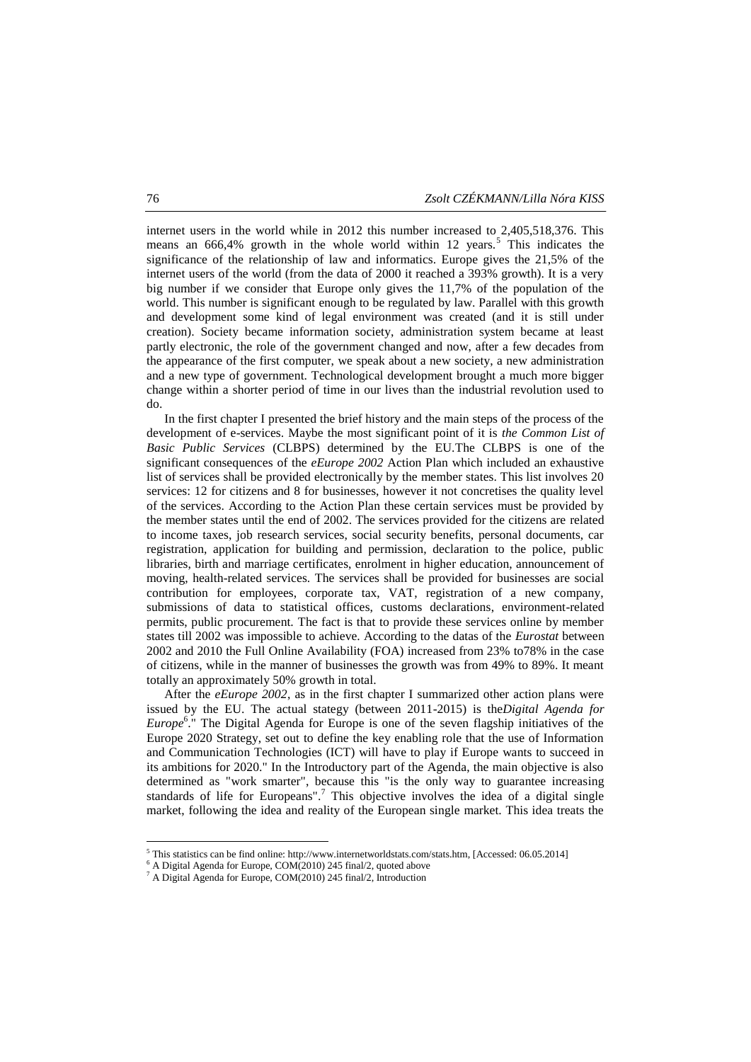internet users in the world while in 2012 this number increased to 2,405,518,376. This means an 666,4% growth in the whole world within 12 years.<sup>5</sup> This indicates the significance of the relationship of law and informatics. Europe gives the 21,5% of the internet users of the world (from the data of 2000 it reached a 393% growth). It is a very big number if we consider that Europe only gives the 11,7% of the population of the world. This number is significant enough to be regulated by law. Parallel with this growth and development some kind of legal environment was created (and it is still under creation). Society became information society, administration system became at least partly electronic, the role of the government changed and now, after a few decades from the appearance of the first computer, we speak about a new society, a new administration and a new type of government. Technological development brought a much more bigger change within a shorter period of time in our lives than the industrial revolution used to do.

In the first chapter I presented the brief history and the main steps of the process of the development of e-services. Maybe the most significant point of it is *the Common List of Basic Public Services* (CLBPS) determined by the EU.The CLBPS is one of the significant consequences of the *eEurope 2002* Action Plan which included an exhaustive list of services shall be provided electronically by the member states. This list involves 20 services: 12 for citizens and 8 for businesses, however it not concretises the quality level of the services. According to the Action Plan these certain services must be provided by the member states until the end of 2002. The services provided for the citizens are related to income taxes, job research services, social security benefits, personal documents, car registration, application for building and permission, declaration to the police, public libraries, birth and marriage certificates, enrolment in higher education, announcement of moving, health-related services. The services shall be provided for businesses are social contribution for employees, corporate tax, VAT, registration of a new company, submissions of data to statistical offices, customs declarations, environment-related permits, public procurement. The fact is that to provide these services online by member states till 2002 was impossible to achieve. According to the datas of the *Eurostat* between 2002 and 2010 the Full Online Availability (FOA) increased from 23% to78% in the case of citizens, while in the manner of businesses the growth was from 49% to 89%. It meant totally an approximately 50% growth in total.

After the *eEurope 2002*, as in the first chapter I summarized other action plans were issued by the EU. The actual stategy (between 2011-2015) is the*Digital Agenda for Europe*<sup>6</sup> ." The Digital Agenda for Europe is one of the seven flagship initiatives of the Europe 2020 Strategy, set out to define the key enabling role that the use of Information and Communication Technologies (ICT) will have to play if Europe wants to succeed in its ambitions for 2020." In the Introductory part of the Agenda, the main objective is also determined as "work smarter", because this "is the only way to guarantee increasing standards of life for Europeans".<sup>7</sup> This objective involves the idea of a digital single market, following the idea and reality of the European single market. This idea treats the

<sup>5</sup> This statistics can be find online: http://www.internetworldstats.com/stats.htm, [Accessed: 06.05.2014]

 $6$  A Digital Agenda for Europe, COM(2010) 245 final/2, quoted above

 $^7$  A Digital Agenda for Europe, COM(2010) 245 final/2, Introduction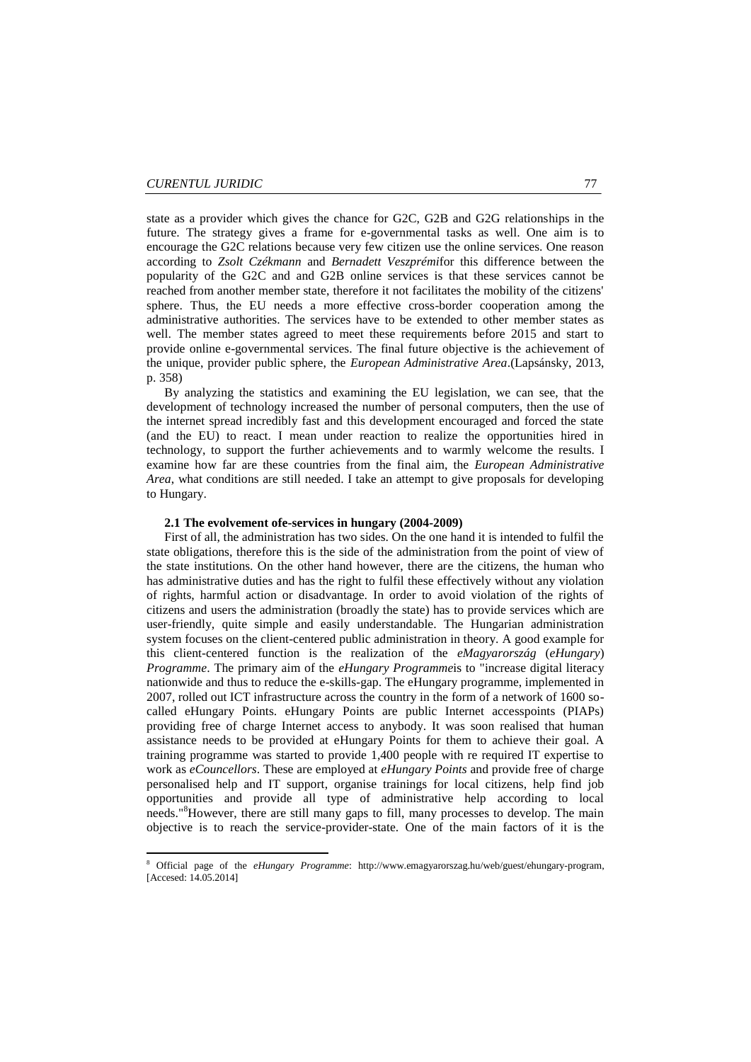1

state as a provider which gives the chance for G2C, G2B and G2G relationships in the future. The strategy gives a frame for e-governmental tasks as well. One aim is to encourage the G2C relations because very few citizen use the online services. One reason according to *Zsolt Czékmann* and *Bernadett Veszprémi*for this difference between the popularity of the G2C and and G2B online services is that these services cannot be reached from another member state, therefore it not facilitates the mobility of the citizens' sphere. Thus, the EU needs a more effective cross-border cooperation among the administrative authorities. The services have to be extended to other member states as well. The member states agreed to meet these requirements before 2015 and start to provide online e-governmental services. The final future objective is the achievement of the unique, provider public sphere, the *European Administrative Area*.(Lapsánsky, 2013, p. 358)

By analyzing the statistics and examining the EU legislation, we can see, that the development of technology increased the number of personal computers, then the use of the internet spread incredibly fast and this development encouraged and forced the state (and the EU) to react. I mean under reaction to realize the opportunities hired in technology, to support the further achievements and to warmly welcome the results. I examine how far are these countries from the final aim, the *European Administrative Area*, what conditions are still needed. I take an attempt to give proposals for developing to Hungary.

#### **2.1 The evolvement ofe-services in hungary (2004-2009)**

First of all, the administration has two sides. On the one hand it is intended to fulfil the state obligations, therefore this is the side of the administration from the point of view of the state institutions. On the other hand however, there are the citizens, the human who has administrative duties and has the right to fulfil these effectively without any violation of rights, harmful action or disadvantage. In order to avoid violation of the rights of citizens and users the administration (broadly the state) has to provide services which are user-friendly, quite simple and easily understandable. The Hungarian administration system focuses on the client-centered public administration in theory. A good example for this client-centered function is the realization of the *eMagyarország* (*eHungary*) *Programme*. The primary aim of the *eHungary Programme*is to "increase digital literacy nationwide and thus to reduce the e-skills-gap. The eHungary programme, implemented in 2007, rolled out ICT infrastructure across the country in the form of a network of 1600 socalled eHungary Points. eHungary Points are public Internet accesspoints (PIAPs) providing free of charge Internet access to anybody. It was soon realised that human assistance needs to be provided at eHungary Points for them to achieve their goal. A training programme was started to provide 1,400 people with re required IT expertise to work as *eCouncellors*. These are employed at *eHungary Points* and provide free of charge personalised help and IT support, organise trainings for local citizens, help find job opportunities and provide all type of administrative help according to local needs."<sup>8</sup>However, there are still many gaps to fill, many processes to develop. The main objective is to reach the service-provider-state. One of the main factors of it is the

<sup>8</sup> Official page of the *eHungary Programme*: http://www.emagyarorszag.hu/web/guest/ehungary-program, [Accesed: 14.05.2014]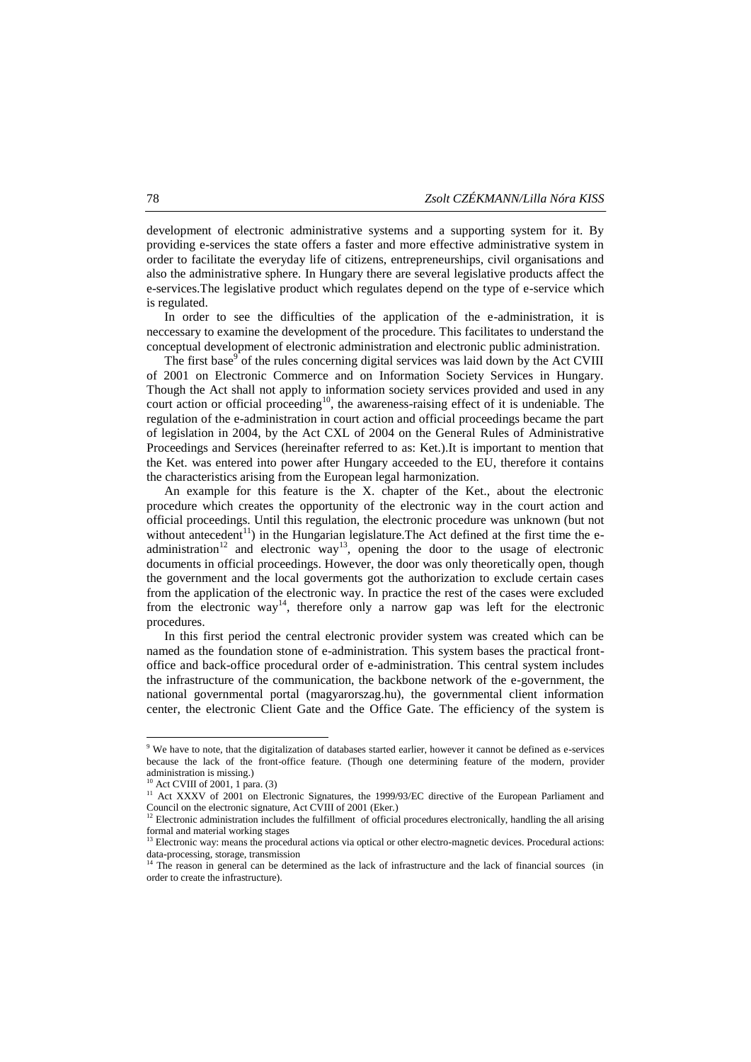development of electronic administrative systems and a supporting system for it. By providing e-services the state offers a faster and more effective administrative system in order to facilitate the everyday life of citizens, entrepreneurships, civil organisations and also the administrative sphere. In Hungary there are several legislative products affect the e-services.The legislative product which regulates depend on the type of e-service which is regulated.

In order to see the difficulties of the application of the e-administration, it is neccessary to examine the development of the procedure. This facilitates to understand the conceptual development of electronic administration and electronic public administration.

The first base<sup>9</sup> of the rules concerning digital services was laid down by the Act CVIII of 2001 on Electronic Commerce and on Information Society Services in Hungary. Though the Act shall not apply to information society services provided and used in any court action or official proceeding<sup>10</sup>, the awareness-raising effect of it is undeniable. The regulation of the e-administration in court action and official proceedings became the part of legislation in 2004, by the Act CXL of 2004 on the General Rules of Administrative Proceedings and Services (hereinafter referred to as: Ket.).It is important to mention that the Ket. was entered into power after Hungary acceeded to the EU, therefore it contains the characteristics arising from the European legal harmonization.

An example for this feature is the X. chapter of the Ket., about the electronic procedure which creates the opportunity of the electronic way in the court action and official proceedings. Until this regulation, the electronic procedure was unknown (but not without antecedent<sup>11</sup>) in the Hungarian legislature. The Act defined at the first time the eadministration<sup>12</sup> and electronic way<sup>13</sup>, opening the door to the usage of electronic documents in official proceedings. However, the door was only theoretically open, though the government and the local goverments got the authorization to exclude certain cases from the application of the electronic way. In practice the rest of the cases were excluded from the electronic way<sup>14</sup>, therefore only a narrow gap was left for the electronic procedures.

In this first period the central electronic provider system was created which can be named as the foundation stone of e-administration. This system bases the practical frontoffice and back-office procedural order of e-administration. This central system includes the infrastructure of the communication, the backbone network of the e-government, the national governmental portal (magyarorszag.hu), the governmental client information center, the electronic Client Gate and the Office Gate. The efficiency of the system is

<sup>&</sup>lt;sup>9</sup> We have to note, that the digitalization of databases started earlier, however it cannot be defined as e-services because the lack of the front-office feature. (Though one determining feature of the modern, provider administration is missing.)

<sup>&</sup>lt;sup>10</sup> Act CVIII of 2001, 1 para. (3)

<sup>&</sup>lt;sup>11</sup> Act XXXV of 2001 on Electronic Signatures, the 1999/93/EC directive of the European Parliament and Council on the electronic signature, Act CVIII of 2001 (Eker.)

<sup>&</sup>lt;sup>12</sup> Electronic administration includes the fulfillment of official procedures electronically, handling the all arising formal and material working stages

 $<sup>13</sup>$  Electronic way: means the procedural actions via optical or other electro-magnetic devices. Procedural actions:</sup> data-processing, storage, transmission

<sup>&</sup>lt;sup>14</sup> The reason in general can be determined as the lack of infrastructure and the lack of financial sources (in order to create the infrastructure).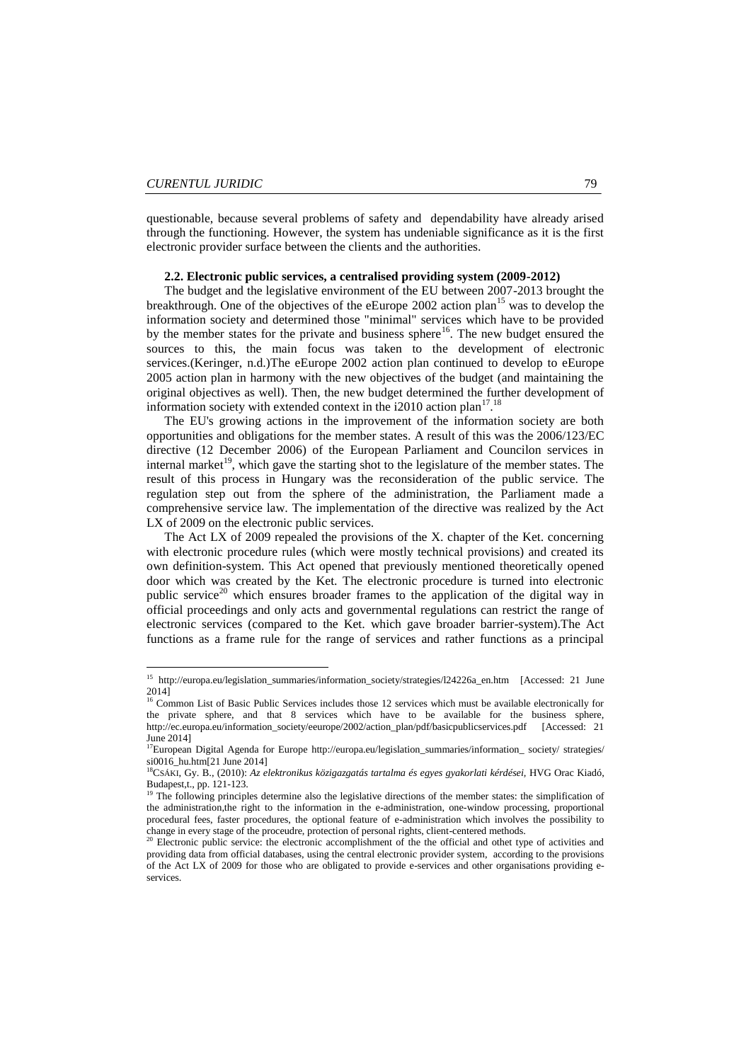**.** 

questionable, because several problems of safety and dependability have already arised through the functioning. However, the system has undeniable significance as it is the first electronic provider surface between the clients and the authorities.

## **2.2. Electronic public services, a centralised providing system (2009-2012)**

The budget and the legislative environment of the EU between 2007-2013 brought the breakthrough. One of the objectives of the eEurope 2002 action plan<sup>15</sup> was to develop the information society and determined those "minimal" services which have to be provided by the member states for the private and business sphere<sup>16</sup>. The new budget ensured the sources to this, the main focus was taken to the development of electronic services.(Keringer, n.d.)The eEurope 2002 action plan continued to develop to eEurope 2005 action plan in harmony with the new objectives of the budget (and maintaining the original objectives as well). Then, the new budget determined the further development of information society with extended context in the  $i2010$  action plan<sup>17</sup>.<sup>18</sup>

The EU's growing actions in the improvement of the information society are both opportunities and obligations for the member states. A result of this was the 2006/123/EC directive (12 December 2006) of the European Parliament and Councilon services in internal market<sup>19</sup>, which gave the starting shot to the legislature of the member states. The result of this process in Hungary was the reconsideration of the public service. The regulation step out from the sphere of the administration, the Parliament made a comprehensive service law. The implementation of the directive was realized by the Act LX of 2009 on the electronic public services.

The Act LX of 2009 repealed the provisions of the X. chapter of the Ket. concerning with electronic procedure rules (which were mostly technical provisions) and created its own definition-system. This Act opened that previously mentioned theoretically opened door which was created by the Ket. The electronic procedure is turned into electronic public service<sup>20</sup> which ensures broader frames to the application of the digital way in official proceedings and only acts and governmental regulations can restrict the range of electronic services (compared to the Ket. which gave broader barrier-system).The Act functions as a frame rule for the range of services and rather functions as a principal

<sup>&</sup>lt;sup>15</sup> http://europa.eu/legislation\_summaries/information\_society/strategies/124226a\_en.htm [Accessed: 21 June 2014]

<sup>&</sup>lt;sup>16</sup> Common List of Basic Public Services includes those 12 services which must be available electronically for the private sphere, and that 8 services which have to be available for the business sphere, http://ec.europa.eu/information\_society/eeurope/2002/action\_plan/pdf/basicpublicservices.pdf [Accessed: 21 June 2014]

<sup>17</sup>European Digital Agenda for Europe [http://europa.eu/legislation\\_summaries/information\\_](http://europa.eu/legislation_summaries/information_%20society/%20strategies/%20si0016_hu.htm) society/ strategies/ [si0016\\_hu.htm\[](http://europa.eu/legislation_summaries/information_%20society/%20strategies/%20si0016_hu.htm)21 June 2014]

<sup>18</sup>CSÁKI, Gy. B., (2010): *Az elektronikus közigazgatás tartalma és egyes gyakorlati kérdései,* HVG Orac Kiadó, Budapest,t., pp. 121-123.

<sup>&</sup>lt;sup>19</sup> The following principles determine also the legislative directions of the member states: the simplification of the administration,the right to the information in the e-administration, one-window processing, proportional procedural fees, faster procedures, the optional feature of e-administration which involves the possibility to change in every stage of the proceudre, protection of personal rights, client-centered methods.

<sup>20</sup> Electronic public service: the electronic accomplishment of the the official and othet type of activities and providing data from official databases, using the central electronic provider system, according to the provisions of the Act LX of 2009 for those who are obligated to provide e-services and other organisations providing eservices.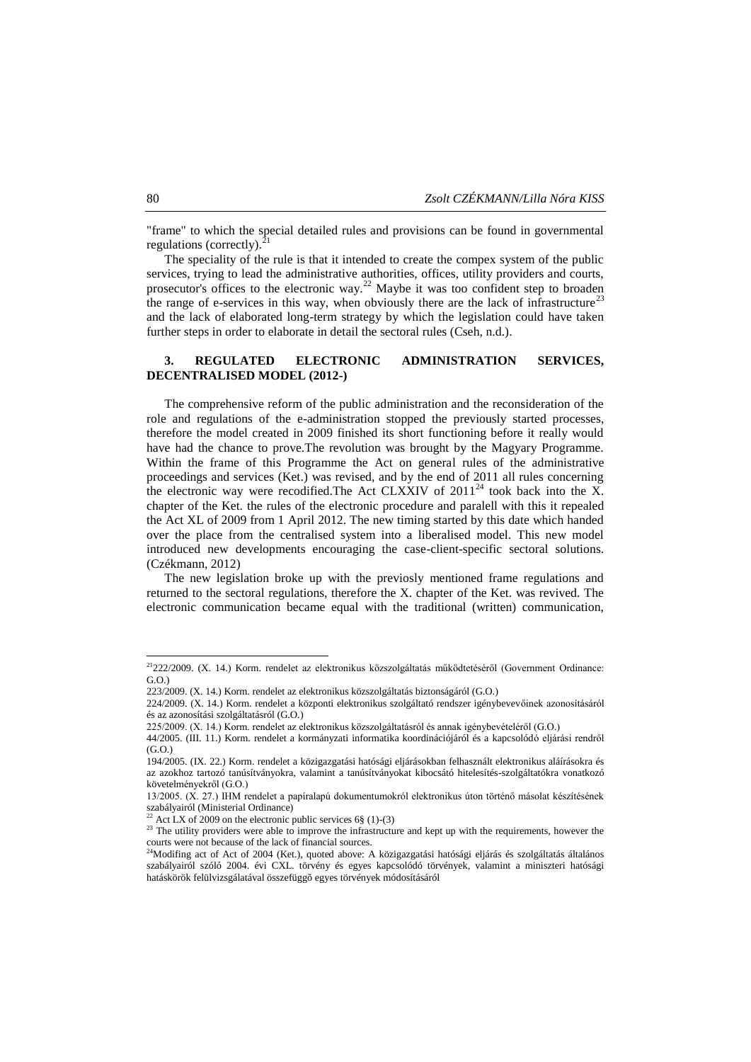"frame" to which the special detailed rules and provisions can be found in governmental regulations (correctly). $^{21}$ 

The speciality of the rule is that it intended to create the compex system of the public services, trying to lead the administrative authorities, offices, utility providers and courts, prosecutor's offices to the electronic way.<sup>22</sup> Maybe it was too confident step to broaden the range of e-services in this way, when obviously there are the lack of infrastructure<sup>23</sup> and the lack of elaborated long-term strategy by which the legislation could have taken further steps in order to elaborate in detail the sectoral rules (Cseh, n.d.).

# **3. REGULATED ELECTRONIC ADMINISTRATION SERVICES, DECENTRALISED MODEL (2012-)**

The comprehensive reform of the public administration and the reconsideration of the role and regulations of the e-administration stopped the previously started processes, therefore the model created in 2009 finished its short functioning before it really would have had the chance to prove.The revolution was brought by the Magyary Programme. Within the frame of this Programme the Act on general rules of the administrative proceedings and services (Ket.) was revised, and by the end of 2011 all rules concerning the electronic way were recodified. The Act CLXXIV of  $2011^{24}$  took back into the X. chapter of the Ket. the rules of the electronic procedure and paralell with this it repealed the Act XL of 2009 from 1 April 2012. The new timing started by this date which handed over the place from the centralised system into a liberalised model. This new model introduced new developments encouraging the case-client-specific sectoral solutions. (Czékmann, 2012)

The new legislation broke up with the previosly mentioned frame regulations and returned to the sectoral regulations, therefore the X. chapter of the Ket. was revived. The electronic communication became equal with the traditional (written) communication,

1

 $2^{21}222/2009$ . (X. 14.) Korm. rendelet az elektronikus közszolgáltatás működtetéséről (Government Ordinance:  $G.$  $O.$ 

<sup>223/2009. (</sup>X. 14.) Korm. rendelet az elektronikus közszolgáltatás biztonságáról (G.O.)

<sup>224/2009. (</sup>X. 14.) Korm. rendelet a központi elektronikus szolgáltató rendszer igénybevevőinek azonosításáról és az azonosítási szolgáltatásról (G.O.)

<sup>225/2009. (</sup>X. 14.) Korm. rendelet az elektronikus közszolgáltatásról és annak igénybevételéről (G.O.)

<sup>44/2005. (</sup>III. 11.) Korm. rendelet a kormányzati informatika koordinációjáról és a kapcsolódó eljárási rendről (G.O.)

<sup>194/2005. (</sup>IX. 22.) Korm. rendelet a közigazgatási hatósági eljárásokban felhasznált elektronikus aláírásokra és az azokhoz tartozó tanúsítványokra, valamint a tanúsítványokat kibocsátó hitelesítés-szolgáltatókra vonatkozó követelményekről (G.O.)

<sup>13/2005. (</sup>X. 27.) IHM rendelet a papíralapú dokumentumokról elektronikus úton történő másolat készítésének szabályairól (Ministerial Ordinance)

Act LX of 2009 on the electronic public services 6§ (1)-(3)

<sup>&</sup>lt;sup>23</sup> The utility providers were able to improve the infrastructure and kept up with the requirements, however the courts were not because of the lack of financial sources.

<sup>&</sup>lt;sup>24</sup>Modifing act of Act of 2004 (Ket.), quoted above: A közigazgatási hatósági eljárás és szolgáltatás általános szabályairól szóló 2004. évi CXL. törvény és egyes kapcsolódó törvények, valamint a miniszteri hatósági hatáskörök felülvizsgálatával összefüggõ egyes törvények módosításáról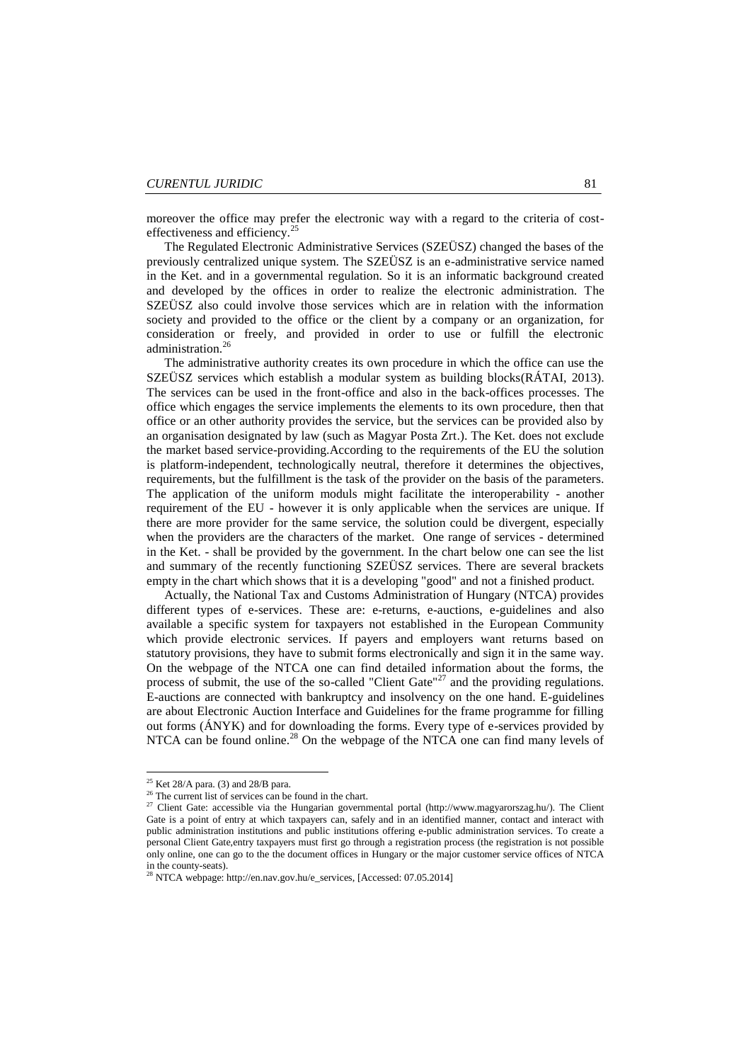moreover the office may prefer the electronic way with a regard to the criteria of costeffectiveness and efficiency.<sup>25</sup>

The Regulated Electronic Administrative Services (SZEÜSZ) changed the bases of the previously centralized unique system. The SZEÜSZ is an e-administrative service named in the Ket. and in a governmental regulation. So it is an informatic background created and developed by the offices in order to realize the electronic administration. The SZEÜSZ also could involve those services which are in relation with the information society and provided to the office or the client by a company or an organization, for consideration or freely, and provided in order to use or fulfill the electronic administration.<sup>26</sup>

The administrative authority creates its own procedure in which the office can use the SZEÜSZ services which establish a modular system as building blocks(RÁTAI, 2013). The services can be used in the front-office and also in the back-offices processes. The office which engages the service implements the elements to its own procedure, then that office or an other authority provides the service, but the services can be provided also by an organisation designated by law (such as Magyar Posta Zrt.). The Ket. does not exclude the market based service-providing.According to the requirements of the EU the solution is platform-independent, technologically neutral, therefore it determines the objectives, requirements, but the fulfillment is the task of the provider on the basis of the parameters. The application of the uniform moduls might facilitate the interoperability - another requirement of the EU - however it is only applicable when the services are unique. If there are more provider for the same service, the solution could be divergent, especially when the providers are the characters of the market. One range of services - determined in the Ket. - shall be provided by the government. In the chart below one can see the list and summary of the recently functioning SZEÜSZ services. There are several brackets empty in the chart which shows that it is a developing "good" and not a finished product.

Actually, the National Tax and Customs Administration of Hungary (NTCA) provides different types of e-services. These are: e-returns, e-auctions, e-guidelines and also available a specific system for taxpayers not established in the European Community which provide electronic services. If payers and employers want returns based on statutory provisions, they have to submit forms electronically and sign it in the same way. On the webpage of the NTCA one can find detailed information about the forms, the process of submit, the use of the so-called "Client Gate"<sup>27</sup> and the providing regulations. E-auctions are connected with bankruptcy and insolvency on the one hand. E-guidelines are about Electronic Auction Interface and Guidelines for the frame programme for filling out forms (ÁNYK) and for downloading the forms. Every type of e-services provided by NTCA can be found online.<sup>28</sup> On the webpage of the NTCA one can find many levels of

 $\overline{\phantom{a}}$ 

 $25$  Ket 28/A para. (3) and 28/B para.

<sup>&</sup>lt;sup>26</sup> The current list of services can be found in the chart.

<sup>&</sup>lt;sup>27</sup> Client Gate: accessible via the Hungarian governmental portal (http://www.magyarorszag.hu/). The Client Gate is a point of entry at which taxpayers can, safely and in an identified manner, contact and interact with public administration institutions and public institutions offering e-public administration services. To create a personal Client Gate,entry taxpayers must first go through a registration process (the registration is not possible only online, one can go to the the document offices in Hungary or the major customer service offices of NTCA in the county-seats).

<sup>&</sup>lt;sup>28</sup> NTCA webpage: http://en.nav.gov.hu/e\_services, [Accessed: 07.05.2014]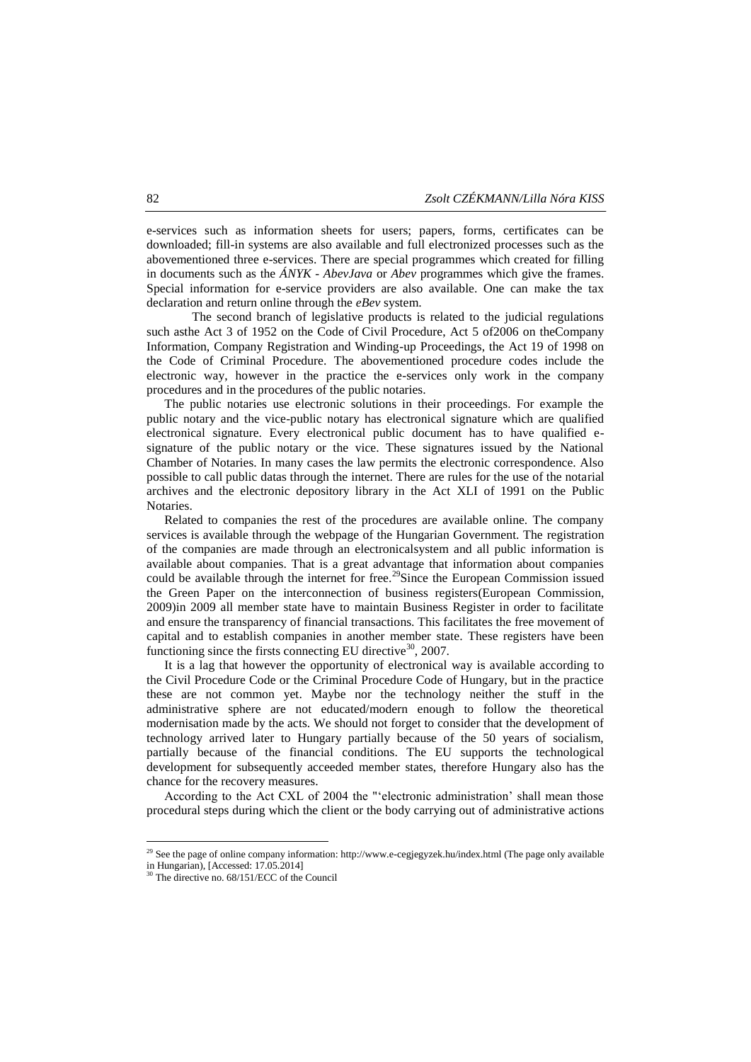e-services such as information sheets for users; papers, forms, certificates can be downloaded; fill-in systems are also available and full electronized processes such as the abovementioned three e-services. There are special programmes which created for filling in documents such as the *ÁNYK - AbevJava* or *Abev* programmes which give the frames. Special information for e-service providers are also available. One can make the tax declaration and return online through the *eBev* system.

The second branch of legislative products is related to the judicial regulations such asthe Act 3 of 1952 on the Code of Civil Procedure, Act 5 of2006 on theCompany Information, Company Registration and Winding-up Proceedings, the Act 19 of 1998 on the Code of Criminal Procedure. The abovementioned procedure codes include the electronic way, however in the practice the e-services only work in the company procedures and in the procedures of the public notaries.

The public notaries use electronic solutions in their proceedings. For example the public notary and the vice-public notary has electronical signature which are qualified electronical signature. Every electronical public document has to have qualified esignature of the public notary or the vice. These signatures issued by the National Chamber of Notaries. In many cases the law permits the electronic correspondence. Also possible to call public datas through the internet. There are rules for the use of the notarial archives and the electronic depository library in the Act XLI of 1991 on the Public Notaries.

Related to companies the rest of the procedures are available online. The company services is available through the webpage of the Hungarian Government. The registration of the companies are made through an electronicalsystem and all public information is available about companies. That is a great advantage that information about companies could be available through the internet for free.<sup>29</sup>Since the European Commission issued the Green Paper on the interconnection of business registers(European Commission, 2009)in 2009 all member state have to maintain Business Register in order to facilitate and ensure the transparency of financial transactions. This facilitates the free movement of capital and to establish companies in another member state. These registers have been functioning since the firsts connecting EU directive<sup>30</sup>, 2007.

It is a lag that however the opportunity of electronical way is available according to the Civil Procedure Code or the Criminal Procedure Code of Hungary, but in the practice these are not common yet. Maybe nor the technology neither the stuff in the administrative sphere are not educated/modern enough to follow the theoretical modernisation made by the acts. We should not forget to consider that the development of technology arrived later to Hungary partially because of the 50 years of socialism, partially because of the financial conditions. The EU supports the technological development for subsequently acceeded member states, therefore Hungary also has the chance for the recovery measures.

According to the Act CXL of 2004 the "'electronic administration' shall mean those procedural steps during which the client or the body carrying out of administrative actions

<sup>&</sup>lt;sup>29</sup> See the page of online company information: http://www.e-cegjegyzek.hu/index.html (The page only available in Hungarian), [Accessed: 17.05.2014]

<sup>30</sup> The directive no. 68/151/ECC of the Council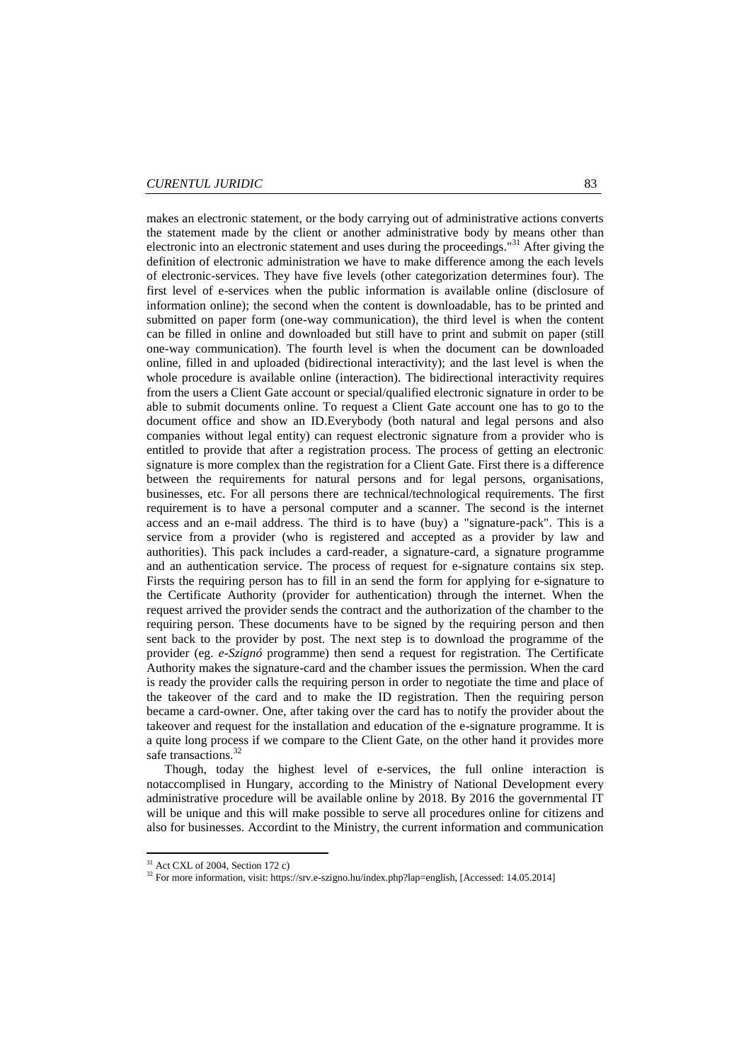makes an electronic statement, or the body carrying out of administrative actions converts the statement made by the client or another administrative body by means other than electronic into an electronic statement and uses during the proceedings."<sup>31</sup> After giving the definition of electronic administration we have to make difference among the each levels of electronic-services. They have five levels (other categorization determines four). The first level of e-services when the public information is available online (disclosure of information online); the second when the content is downloadable, has to be printed and submitted on paper form (one-way communication), the third level is when the content can be filled in online and downloaded but still have to print and submit on paper (still one-way communication). The fourth level is when the document can be downloaded online, filled in and uploaded (bidirectional interactivity); and the last level is when the whole procedure is available online (interaction). The bidirectional interactivity requires from the users a Client Gate account or special/qualified electronic signature in order to be able to submit documents online. To request a Client Gate account one has to go to the document office and show an ID.Everybody (both natural and legal persons and also companies without legal entity) can request electronic signature from a provider who is entitled to provide that after a registration process. The process of getting an electronic signature is more complex than the registration for a Client Gate. First there is a difference between the requirements for natural persons and for legal persons, organisations, businesses, etc. For all persons there are technical/technological requirements. The first requirement is to have a personal computer and a scanner. The second is the internet access and an e-mail address. The third is to have (buy) a "signature-pack". This is a service from a provider (who is registered and accepted as a provider by law and authorities). This pack includes a card-reader, a signature-card, a signature programme and an authentication service. The process of request for e-signature contains six step. Firsts the requiring person has to fill in an send the form for applying for e-signature to the Certificate Authority (provider for authentication) through the internet. When the request arrived the provider sends the contract and the authorization of the chamber to the requiring person. These documents have to be signed by the requiring person and then sent back to the provider by post. The next step is to download the programme of the provider (eg. *e-Szignó* programme) then send a request for registration. The Certificate Authority makes the signature-card and the chamber issues the permission. When the card is ready the provider calls the requiring person in order to negotiate the time and place of the takeover of the card and to make the ID registration. Then the requiring person became a card-owner. One, after taking over the card has to notify the provider about the takeover and request for the installation and education of the e-signature programme. It is a quite long process if we compare to the Client Gate, on the other hand it provides more safe transactions.<sup>32</sup>

Though, today the highest level of e-services, the full online interaction is notaccomplised in Hungary, according to the Ministry of National Development every administrative procedure will be available online by 2018. By 2016 the governmental IT will be unique and this will make possible to serve all procedures online for citizens and also for businesses. Accordint to the Ministry, the current information and communication

1

 $31$  Act CXL of 2004, Section 172 c)

<sup>&</sup>lt;sup>32</sup> For more information, visit: https://srv.e-szigno.hu/index.php?lap=english, [Accessed: 14.05.2014]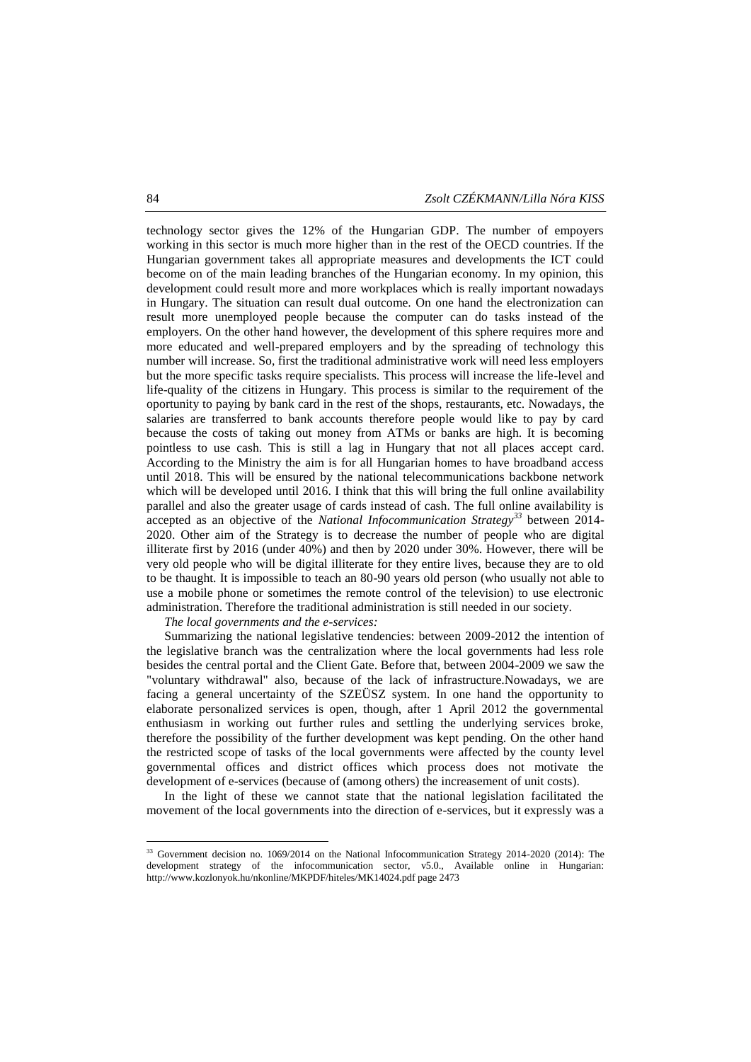technology sector gives the 12% of the Hungarian GDP. The number of empoyers working in this sector is much more higher than in the rest of the OECD countries. If the Hungarian government takes all appropriate measures and developments the ICT could become on of the main leading branches of the Hungarian economy. In my opinion, this development could result more and more workplaces which is really important nowadays in Hungary. The situation can result dual outcome. On one hand the electronization can result more unemployed people because the computer can do tasks instead of the employers. On the other hand however, the development of this sphere requires more and more educated and well-prepared employers and by the spreading of technology this number will increase. So, first the traditional administrative work will need less employers but the more specific tasks require specialists. This process will increase the life-level and life-quality of the citizens in Hungary. This process is similar to the requirement of the oportunity to paying by bank card in the rest of the shops, restaurants, etc. Nowadays, the salaries are transferred to bank accounts therefore people would like to pay by card because the costs of taking out money from ATMs or banks are high. It is becoming pointless to use cash. This is still a lag in Hungary that not all places accept card. According to the Ministry the aim is for all Hungarian homes to have broadband access until 2018. This will be ensured by the national telecommunications backbone network which will be developed until 2016. I think that this will bring the full online availability parallel and also the greater usage of cards instead of cash. The full online availability is accepted as an objective of the *National Infocommunication Strategy<sup>33</sup>* between 2014- 2020. Other aim of the Strategy is to decrease the number of people who are digital illiterate first by 2016 (under 40%) and then by 2020 under 30%. However, there will be very old people who will be digital illiterate for they entire lives, because they are to old to be thaught. It is impossible to teach an 80-90 years old person (who usually not able to use a mobile phone or sometimes the remote control of the television) to use electronic administration. Therefore the traditional administration is still needed in our society.

*The local governments and the e-services:*

Summarizing the national legislative tendencies: between 2009-2012 the intention of the legislative branch was the centralization where the local governments had less role besides the central portal and the Client Gate. Before that, between 2004-2009 we saw the "voluntary withdrawal" also, because of the lack of infrastructure.Nowadays, we are facing a general uncertainty of the SZEÜSZ system. In one hand the opportunity to elaborate personalized services is open, though, after 1 April 2012 the governmental enthusiasm in working out further rules and settling the underlying services broke, therefore the possibility of the further development was kept pending. On the other hand the restricted scope of tasks of the local governments were affected by the county level governmental offices and district offices which process does not motivate the development of e-services (because of (among others) the increasement of unit costs).

In the light of these we cannot state that the national legislation facilitated the movement of the local governments into the direction of e-services, but it expressly was a

<sup>&</sup>lt;sup>33</sup> Government decision no. 1069/2014 on the National Infocommunication Strategy 2014-2020 (2014): The development strategy of the infocommunication sector, v5.0., Available online in Hungarian: http://www.kozlonyok.hu/nkonline/MKPDF/hiteles/MK14024.pdf page 2473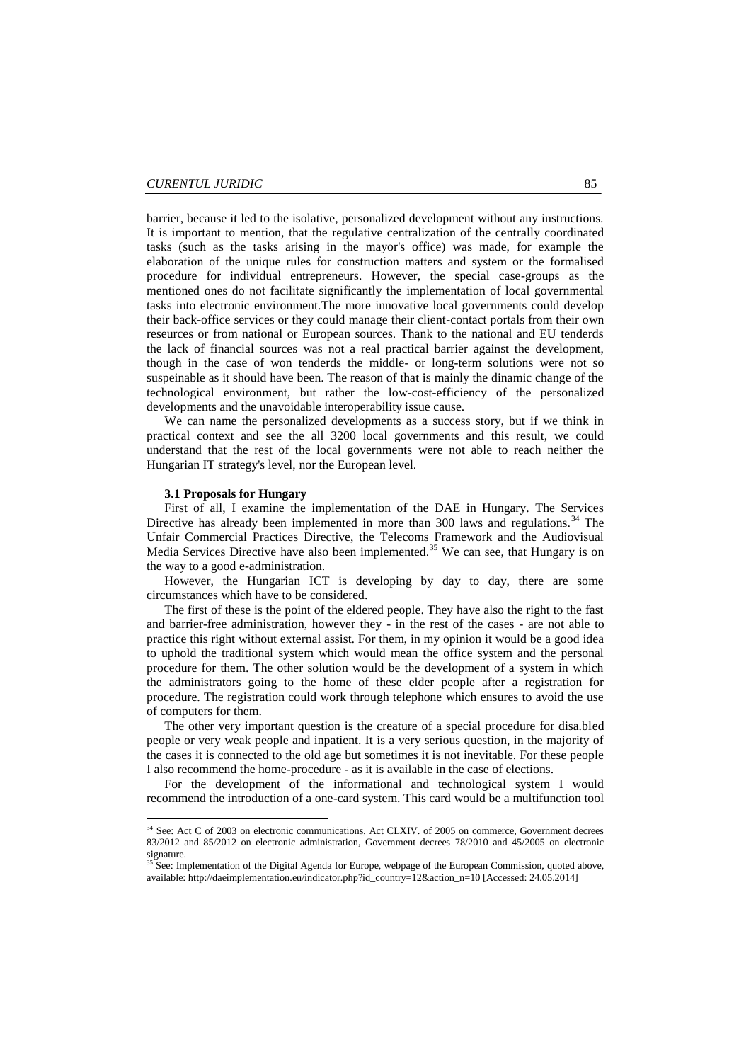barrier, because it led to the isolative, personalized development without any instructions. It is important to mention, that the regulative centralization of the centrally coordinated tasks (such as the tasks arising in the mayor's office) was made, for example the elaboration of the unique rules for construction matters and system or the formalised procedure for individual entrepreneurs. However, the special case-groups as the mentioned ones do not facilitate significantly the implementation of local governmental tasks into electronic environment.The more innovative local governments could develop their back-office services or they could manage their client-contact portals from their own reseurces or from national or European sources. Thank to the national and EU tenderds the lack of financial sources was not a real practical barrier against the development, though in the case of won tenderds the middle- or long-term solutions were not so suspeinable as it should have been. The reason of that is mainly the dinamic change of the technological environment, but rather the low-cost-efficiency of the personalized developments and the unavoidable interoperability issue cause.

We can name the personalized developments as a success story, but if we think in practical context and see the all 3200 local governments and this result, we could understand that the rest of the local governments were not able to reach neither the Hungarian IT strategy's level, nor the European level.

#### **3.1 Proposals for Hungary**

**.** 

First of all, I examine the implementation of the DAE in Hungary. The Services Directive has already been implemented in more than 300 laws and regulations.<sup>34</sup> The Unfair Commercial Practices Directive, the Telecoms Framework and the Audiovisual Media Services Directive have also been implemented.<sup>35</sup> We can see, that Hungary is on the way to a good e-administration.

However, the Hungarian ICT is developing by day to day, there are some circumstances which have to be considered.

The first of these is the point of the eldered people. They have also the right to the fast and barrier-free administration, however they - in the rest of the cases - are not able to practice this right without external assist. For them, in my opinion it would be a good idea to uphold the traditional system which would mean the office system and the personal procedure for them. The other solution would be the development of a system in which the administrators going to the home of these elder people after a registration for procedure. The registration could work through telephone which ensures to avoid the use of computers for them.

The other very important question is the creature of a special procedure for disa.bled people or very weak people and inpatient. It is a very serious question, in the majority of the cases it is connected to the old age but sometimes it is not inevitable. For these people I also recommend the home-procedure - as it is available in the case of elections.

For the development of the informational and technological system I would recommend the introduction of a one-card system. This card would be a multifunction tool

<sup>&</sup>lt;sup>34</sup> See: Act C of 2003 on electronic communications, Act CLXIV. of 2005 on commerce, Government decrees 83/2012 and 85/2012 on electronic administration, Government decrees 78/2010 and 45/2005 on electronic sionature

<sup>&</sup>lt;sup>35</sup> See: Implementation of the Digital Agenda for Europe, webpage of the European Commission, quoted above, available: http://daeimplementation.eu/indicator.php?id\_country=12&action\_n=10 [Accessed: 24.05.2014]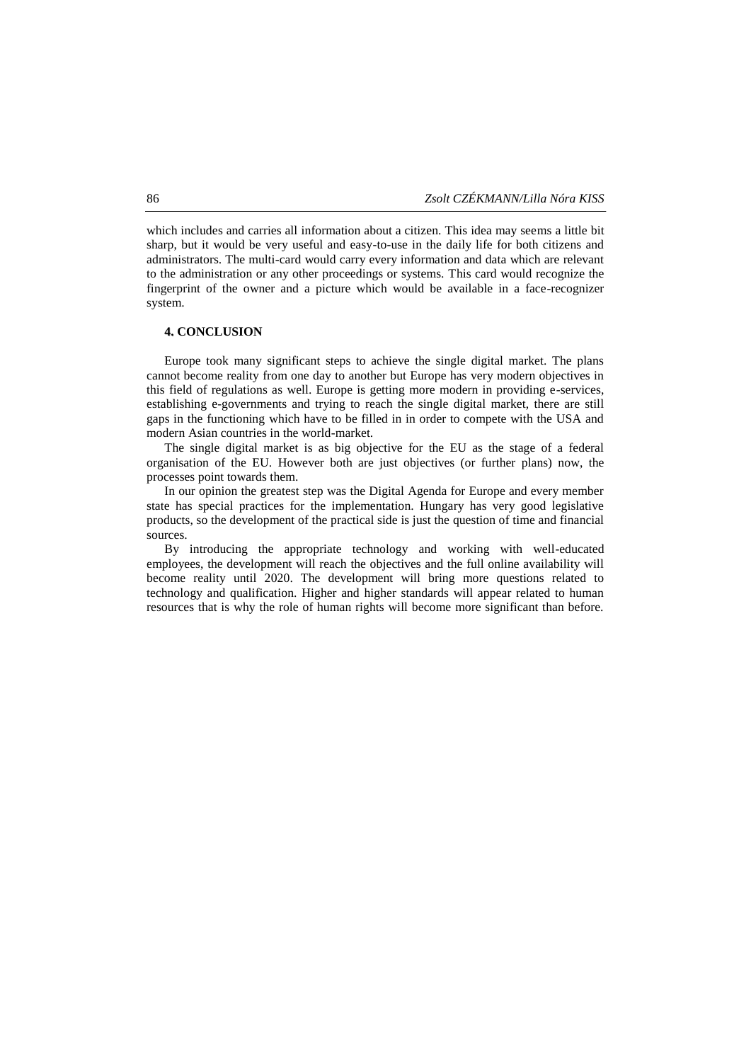which includes and carries all information about a citizen. This idea may seems a little bit sharp, but it would be very useful and easy-to-use in the daily life for both citizens and administrators. The multi-card would carry every information and data which are relevant to the administration or any other proceedings or systems. This card would recognize the fingerprint of the owner and a picture which would be available in a face-recognizer system.

#### **4. CONCLUSION**

Europe took many significant steps to achieve the single digital market. The plans cannot become reality from one day to another but Europe has very modern objectives in this field of regulations as well. Europe is getting more modern in providing e-services, establishing e-governments and trying to reach the single digital market, there are still gaps in the functioning which have to be filled in in order to compete with the USA and modern Asian countries in the world-market.

The single digital market is as big objective for the EU as the stage of a federal organisation of the EU. However both are just objectives (or further plans) now, the processes point towards them.

In our opinion the greatest step was the Digital Agenda for Europe and every member state has special practices for the implementation. Hungary has very good legislative products, so the development of the practical side is just the question of time and financial sources.

By introducing the appropriate technology and working with well-educated employees, the development will reach the objectives and the full online availability will become reality until 2020. The development will bring more questions related to technology and qualification. Higher and higher standards will appear related to human resources that is why the role of human rights will become more significant than before.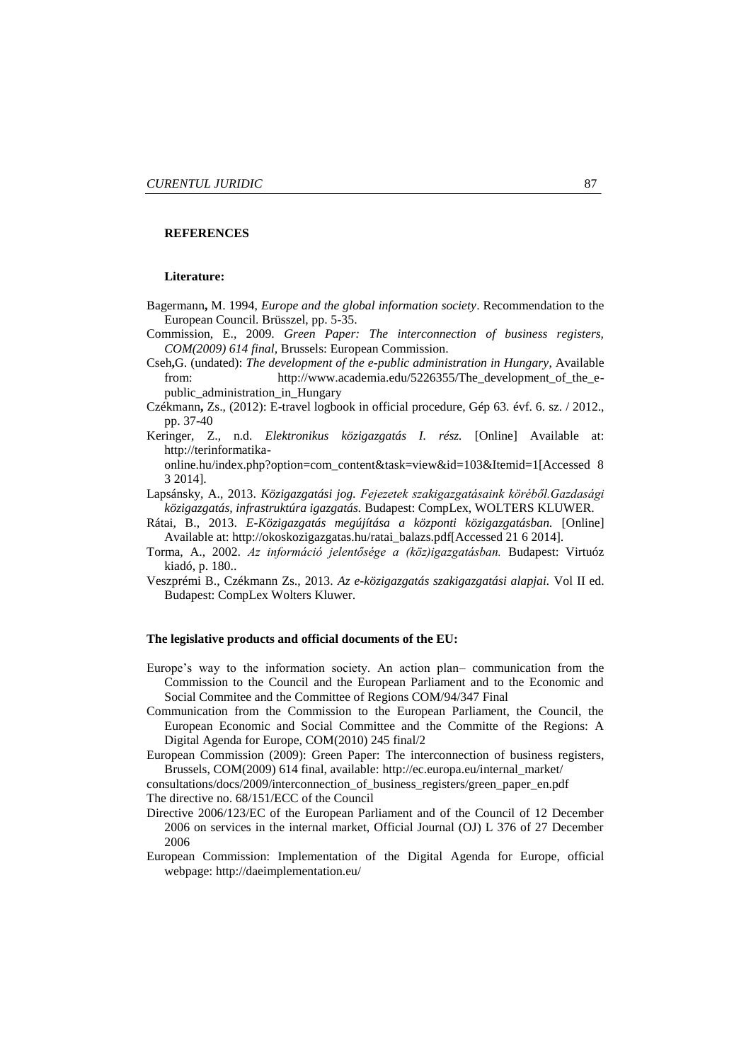### **REFERENCES**

#### **Literature:**

- Bagermann**,** M. 1994, *Europe and the global information society*. Recommendation to the European Council. Brüsszel, pp. 5-35.
- Commission, E., 2009. *Green Paper: The interconnection of business registers, COM(2009) 614 final,* Brussels: European Commission.
- Cseh**,**G. (undated): *The development of the e-public administration in Hungary*, Available from: http://www.academia.edu/5226355/The\_development\_of\_the\_epublic\_administration\_in\_Hungary
- Czékmann**,** Zs., (2012): E-travel logbook in official procedure, Gép 63. évf. 6. sz. / 2012., pp. 37-40
- Keringer, Z., n.d. *Elektronikus közigazgatás I. rész.* [Online] Available at: http://terinformatika
	- online.hu/index.php?option=com\_content&task=view&id=103&Itemid=1[Accessed 8 3 2014].
- Lapsánsky, A., 2013. *Közigazgatási jog. Fejezetek szakigazgatásaink köréből.Gazdasági közigazgatás, infrastruktúra igazgatás.* Budapest: CompLex, WOLTERS KLUWER.
- Rátai, B., 2013. *E-Közigazgatás megújítása a központi közigazgatásban.* [Online] Available at: http://okoskozigazgatas.hu/ratai\_balazs.pdf[Accessed 21 6 2014].
- Torma, A., 2002. *Az információ jelentősége a (köz)igazgatásban.* Budapest: Virtuóz kiadó, p. 180..
- Veszprémi B., Czékmann Zs., 2013. *Az e-közigazgatás szakigazgatási alapjai.* Vol II ed. Budapest: CompLex Wolters Kluwer.

#### **The legislative products and official documents of the EU:**

- Europe's way to the information society. An action plan– communication from the Commission to the Council and the European Parliament and to the Economic and Social Commitee and the Committee of Regions COM/94/347 Final
- Communication from the Commission to the European Parliament, the Council, the European Economic and Social Committee and the Committe of the Regions: A Digital Agenda for Europe, COM(2010) 245 final/2
- European Commission (2009): Green Paper: The interconnection of business registers, Brussels, COM(2009) 614 final, available: [http://ec.europa.eu/internal\\_market/](http://ec.europa.eu/internal_market/)

consultations/docs/2009/interconnection\_of\_business\_registers/green\_paper\_en.pdf The directive no. 68/151/ECC of the Council

- Directive 2006/123/EC of the European Parliament and of the Council of 12 December 2006 on services in the internal market, Official Journal (OJ) L 376 of 27 December 2006
- European Commission: Implementation of the Digital Agenda for Europe, official webpage: http://daeimplementation.eu/